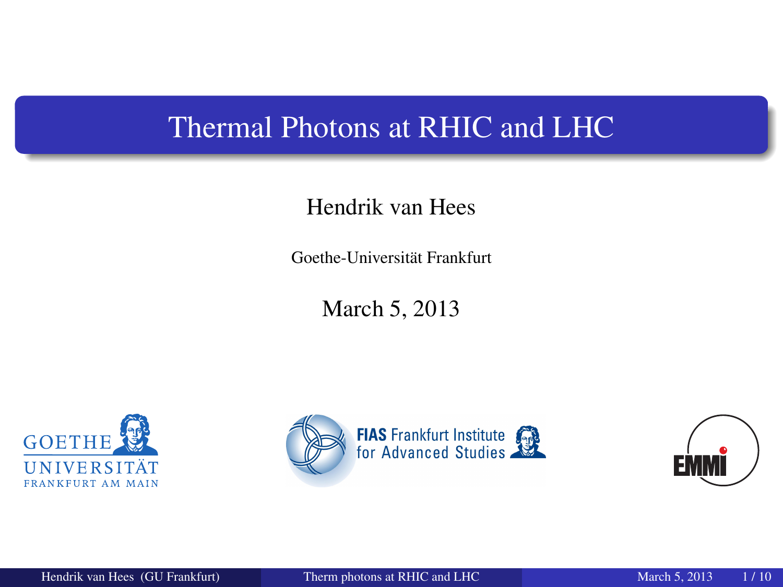# Thermal Photons at RHIC and LHC

### Hendrik van Hees

Goethe-Universität Frankfurt

March 5, 2013





<span id="page-0-0"></span>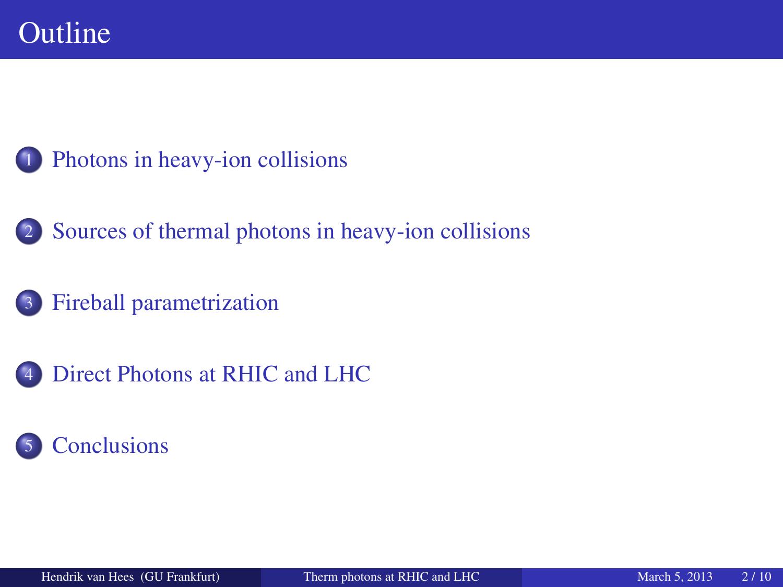### [Photons in heavy-ion collisions](#page-2-0)

- 2 [Sources of thermal photons in heavy-ion collisions](#page-4-0)
	- 3 [Fireball parametrization](#page-5-0)
- [Direct Photons at RHIC and LHC](#page-7-0)

## **[Conclusions](#page-9-0)**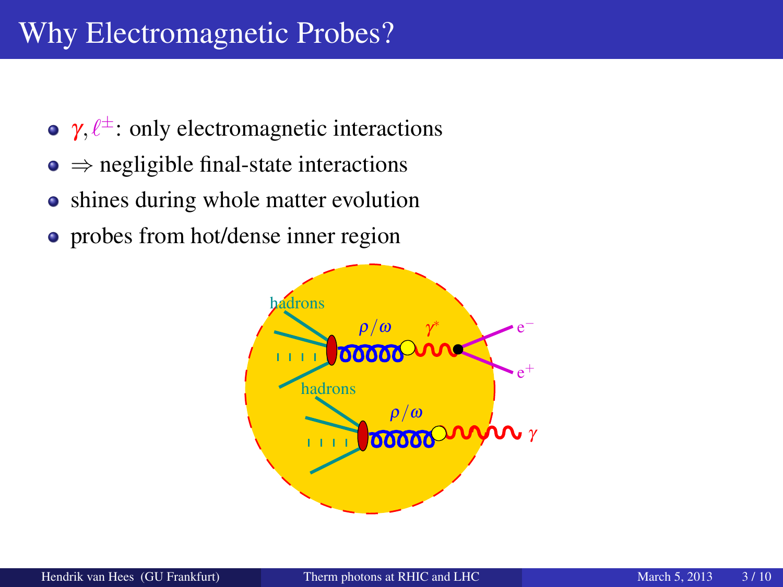- $\gamma$ ,  $\ell^{\pm}$ : only electromagnetic interactions
- $\bullet \Rightarrow$  negligible final-state interactions
- shines during whole matter evolution
- probes from hot/dense inner region

<span id="page-2-0"></span>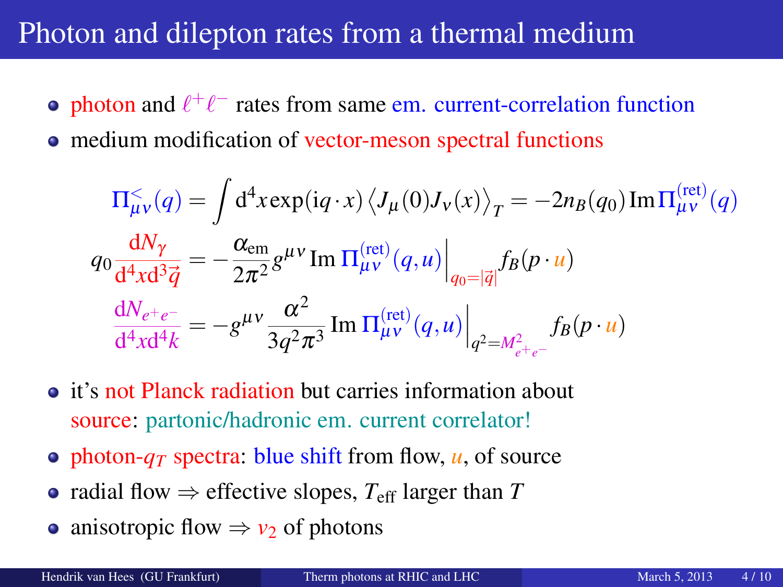## Photon and dilepton rates from a thermal medium

- photon and  $\ell^+\ell^-$  rates from same em. current-correlation function
- medium modification of vector-meson spectral functions

$$
\Pi_{\mu\nu}^{\leq}(q) = \int d^4x \exp(iq \cdot x) \langle J_{\mu}(0)J_{\nu}(x) \rangle_T = -2n_B(q_0) \operatorname{Im} \Pi_{\mu\nu}^{\text{(ret)}}(q)
$$

$$
q_0 \frac{dN_{\gamma}}{d^4x d^3 \vec{q}} = -\frac{\alpha_{\text{em}}}{2\pi^2} g^{\mu\nu} \operatorname{Im} \Pi_{\mu\nu}^{\text{(ret)}}(q, u) \Big|_{q_0 = |\vec{q}|} f_B(p \cdot u)
$$

$$
\frac{dN_{e^+e^-}}{d^4x d^4 k} = -g^{\mu\nu} \frac{\alpha^2}{3q^2 \pi^3} \operatorname{Im} \Pi_{\mu\nu}^{\text{(ret)}}(q, u) \Big|_{q^2 = M_{e^+e^-}^2} f_B(p \cdot u)
$$

- **•** it's not Planck radiation but carries information about source: partonic/hadronic em. current correlator!
- photon- $q<sub>T</sub>$  spectra: blue shift from flow,  $u$ , of source
- radial flow  $\Rightarrow$  effective slopes,  $T_{\text{eff}}$  larger than  $T$
- anisotropic flow  $\Rightarrow v_2$  of photons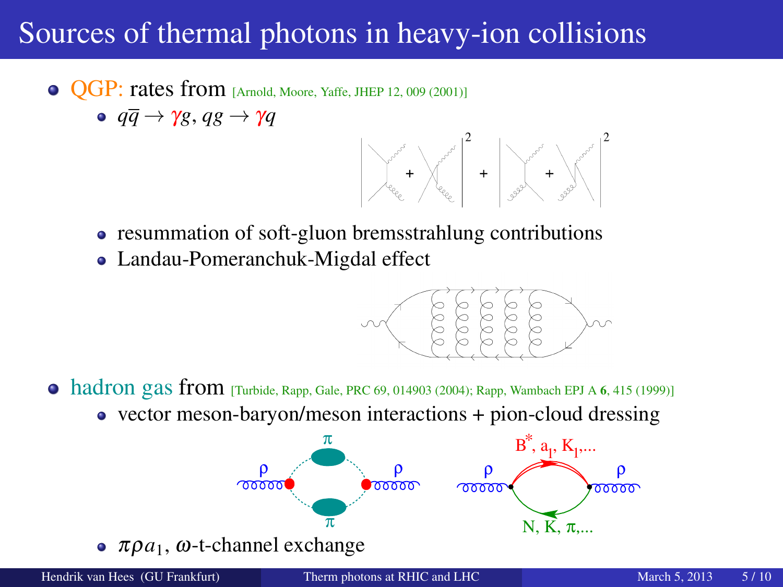# Sources of thermal photons in heavy-ion collisions

- $\odot$  OGP: rates from [Arnold, Moore, Yaffe, JHEP 12, 009 (2001)]
	- $\bullet$   $q\overline{q} \rightarrow \gamma g$ ,  $qg \rightarrow \gamma q$



- resummation of soft-gluon bremsstrahlung contributions
- Landau-Pomeranchuk-Migdal effect

<span id="page-4-0"></span>

- hadron gas from [Turbide, Rapp, Gale, PRC 69, 014903 (2004); Rapp, Wambach EPJ A 6, 415 (1999)]
	- vector meson-baryon/meson interactions + pion-cloud dressing

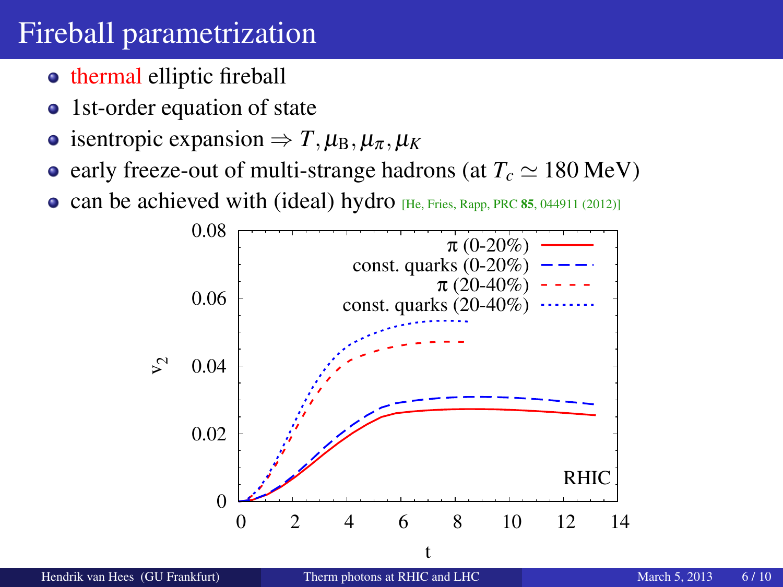# Fireball parametrization

- **•** thermal elliptic fireball
- 1st-order equation of state
- isentropic expansion  $\Rightarrow T, \mu_B, \mu_\pi, \mu_K$
- early freeze-out of multi-strange hadrons (at  $T_c \simeq 180 \text{ MeV}$ )
- can be achieved with (ideal) hydro [He, Fries, Rapp, PRC 85, 044911 (2012)]

<span id="page-5-0"></span>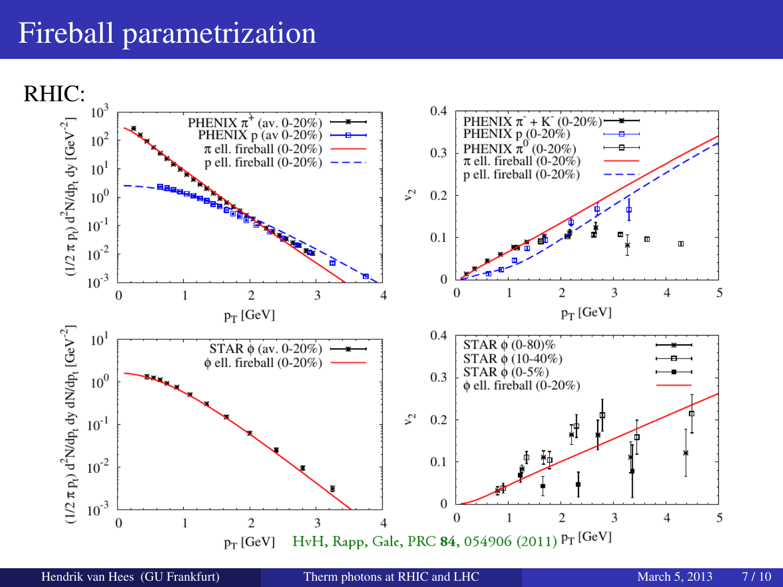# Fireball parametrization

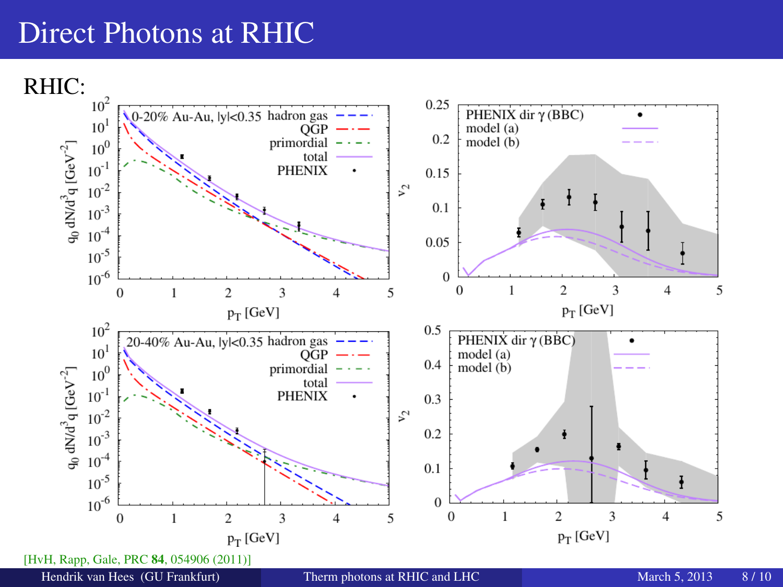# Direct Photons at RHIC



<span id="page-7-0"></span>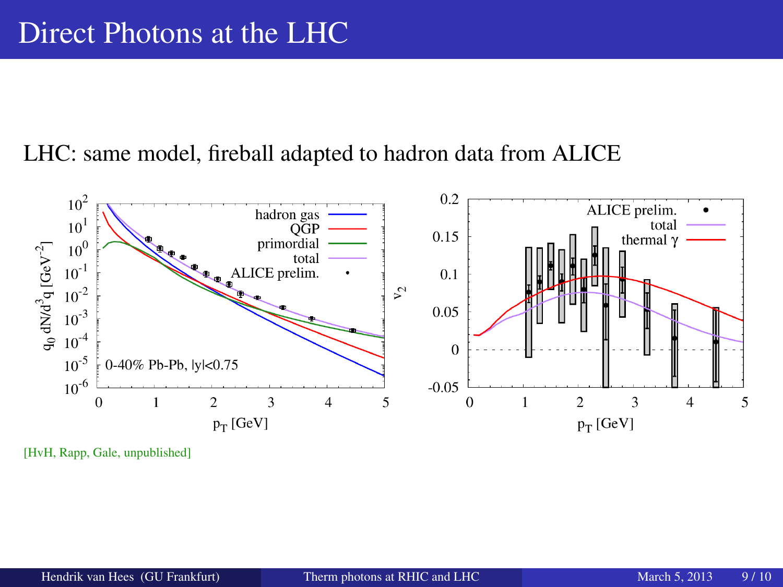#### LHC: same model, fireball adapted to hadron data from ALICE



[HvH, Rapp, Gale, unpublished]